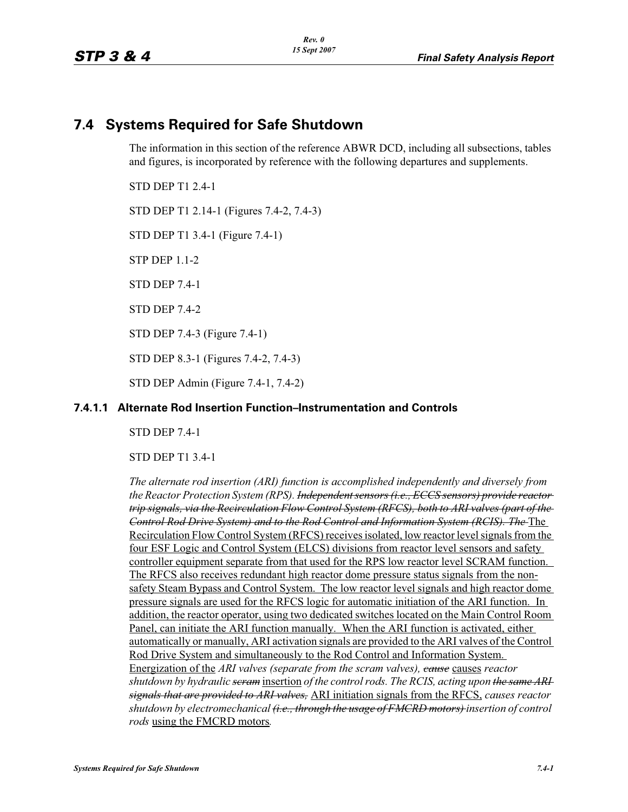# **7.4 Systems Required for Safe Shutdown**

The information in this section of the reference ABWR DCD, including all subsections, tables and figures, is incorporated by reference with the following departures and supplements.

STD DEP T1 2.4-1

STD DEP T1 2.14-1 (Figures 7.4-2, 7.4-3)

STD DEP T1 3.4-1 (Figure 7.4-1)

STP DEP 1.1-2

STD DEP 7.4-1

STD DEP 7.4-2

STD DEP 7.4-3 (Figure 7.4-1)

STD DEP 8.3-1 (Figures 7.4-2, 7.4-3)

STD DEP Admin (Figure 7.4-1, 7.4-2)

### **7.4.1.1 Alternate Rod Insertion Function–Instrumentation and Controls**

STD DEP 7.4-1

STD DEP T1 3.4-1

*The alternate rod insertion (ARI) function is accomplished independently and diversely from the Reactor Protection System (RPS). Independent sensors (i.e., ECCS sensors) provide reactor trip signals, via the Recirculation Flow Control System (RFCS), both to ARI valves (part of the Control Rod Drive System) and to the Rod Control and Information System (RCIS). The* The Recirculation Flow Control System (RFCS) receives isolated, low reactor level signals from the four ESF Logic and Control System (ELCS) divisions from reactor level sensors and safety controller equipment separate from that used for the RPS low reactor level SCRAM function. The RFCS also receives redundant high reactor dome pressure status signals from the nonsafety Steam Bypass and Control System. The low reactor level signals and high reactor dome pressure signals are used for the RFCS logic for automatic initiation of the ARI function. In addition, the reactor operator, using two dedicated switches located on the Main Control Room Panel, can initiate the ARI function manually. When the ARI function is activated, either automatically or manually, ARI activation signals are provided to the ARI valves of the Control Rod Drive System and simultaneously to the Rod Control and Information System. Energization of the *ARI valves (separate from the scram valves), cause* causes *reactor shutdown by hydraulic scram* insertion *of the control rods. The RCIS, acting upon the same ARI signals that are provided to ARI valves,* ARI initiation signals from the RFCS, *causes reactor shutdown by electromechanical (i.e., through the usage of FMCRD motors) insertion of control rods* using the FMCRD motors*.*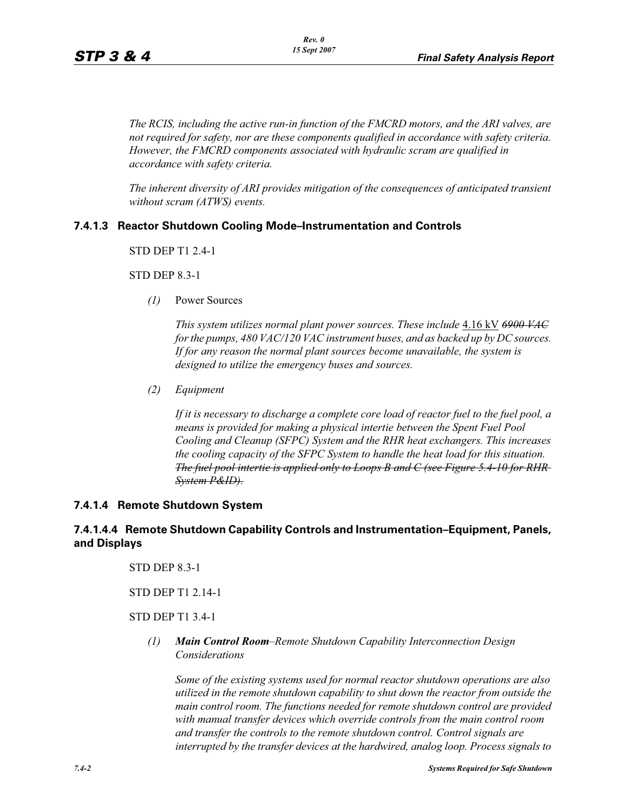*The RCIS, including the active run-in function of the FMCRD motors, and the ARI valves, are not required for safety, nor are these components qualified in accordance with safety criteria. However, the FMCRD components associated with hydraulic scram are qualified in accordance with safety criteria.*

*The inherent diversity of ARI provides mitigation of the consequences of anticipated transient without scram (ATWS) events.*

### **7.4.1.3 Reactor Shutdown Cooling Mode–Instrumentation and Controls**

STD DEP T1 2.4-1

STD DEP 8.3-1

*(1)* Power Sources

*This system utilizes normal plant power sources. These include* 4.16 kV *6900 VAC for the pumps, 480 VAC/120 VAC instrument buses, and as backed up by DC sources. If for any reason the normal plant sources become unavailable, the system is designed to utilize the emergency buses and sources.*

*(2) Equipment*

*If it is necessary to discharge a complete core load of reactor fuel to the fuel pool, a means is provided for making a physical intertie between the Spent Fuel Pool Cooling and Cleanup (SFPC) System and the RHR heat exchangers. This increases the cooling capacity of the SFPC System to handle the heat load for this situation. The fuel pool intertie is applied only to Loops B and C (see Figure 5.4-10 for RHR System P&ID).*

#### **7.4.1.4 Remote Shutdown System**

### **7.4.1.4.4 Remote Shutdown Capability Controls and Instrumentation–Equipment, Panels, and Displays**

STD DEP 8.3-1

#### STD DEP T1 2.14-1

### STD DEP T1 3.4-1

*(1) Main Control Room–Remote Shutdown Capability Interconnection Design Considerations*

*Some of the existing systems used for normal reactor shutdown operations are also utilized in the remote shutdown capability to shut down the reactor from outside the main control room. The functions needed for remote shutdown control are provided with manual transfer devices which override controls from the main control room and transfer the controls to the remote shutdown control. Control signals are interrupted by the transfer devices at the hardwired, analog loop. Process signals to*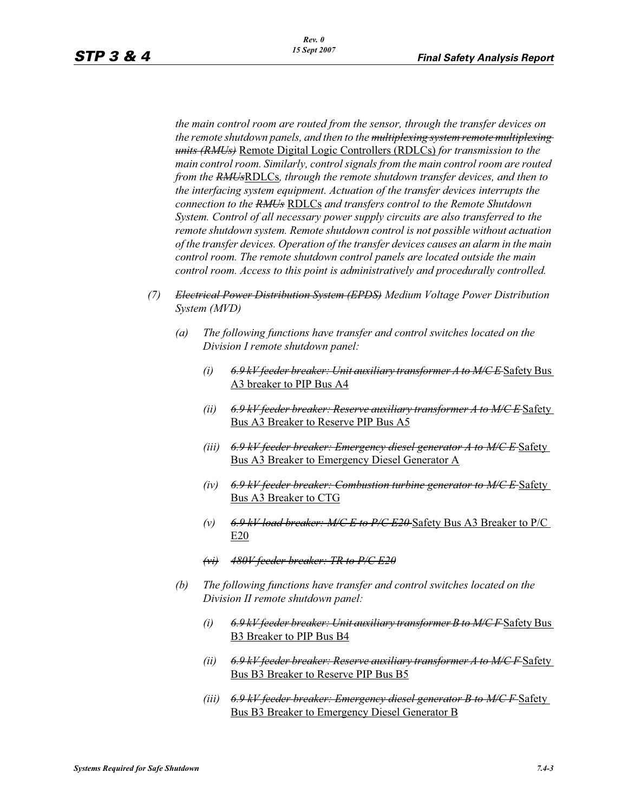*the main control room are routed from the sensor, through the transfer devices on the remote shutdown panels, and then to the multiplexing system remote multiplexing units (RMUs)* Remote Digital Logic Controllers (RDLCs) *for transmission to the main control room. Similarly, control signals from the main control room are routed from the RMUs*RDLCs*, through the remote shutdown transfer devices, and then to the interfacing system equipment. Actuation of the transfer devices interrupts the connection to the RMUs* RDLCs *and transfers control to the Remote Shutdown System. Control of all necessary power supply circuits are also transferred to the remote shutdown system. Remote shutdown control is not possible without actuation of the transfer devices. Operation of the transfer devices causes an alarm in the main control room. The remote shutdown control panels are located outside the main control room. Access to this point is administratively and procedurally controlled.*

- *(7) Electrical Power Distribution System (EPDS) Medium Voltage Power Distribution System (MVD)*
	- *(a) The following functions have transfer and control switches located on the Division I remote shutdown panel:*
		- *(i) 6.9 kV feeder breaker: Unit auxiliary transformer A to M/C E* Safety Bus A3 breaker to PIP Bus A4
		- *(ii) 6.9 kV feeder breaker: Reserve auxiliary transformer A to M/C E* Safety Bus A3 Breaker to Reserve PIP Bus A5
		- *(iii) 6.9 kV feeder breaker: Emergency diesel generator A to M/C E* Safety Bus A3 Breaker to Emergency Diesel Generator A
		- *(iv) 6.9 kV feeder breaker: Combustion turbine generator to M/C E* Safety Bus A3 Breaker to CTG
		- *(v) 6.9 kV load breaker: M/C E to P/C E20* Safety Bus A3 Breaker to P/C E20
		- *(vi) 480V feeder breaker: TR to P/C E20*
	- *(b) The following functions have transfer and control switches located on the Division II remote shutdown panel:*
		- *(i) 6.9 kV feeder breaker: Unit auxiliary transformer B to M/C F* Safety Bus B3 Breaker to PIP Bus B4
		- *(ii) 6.9 kV feeder breaker: Reserve auxiliary transformer A to M/C F* Safety Bus B3 Breaker to Reserve PIP Bus B5
		- *(iii) 6.9 kV feeder breaker: Emergency diesel generator B to M/C F* Safety Bus B3 Breaker to Emergency Diesel Generator B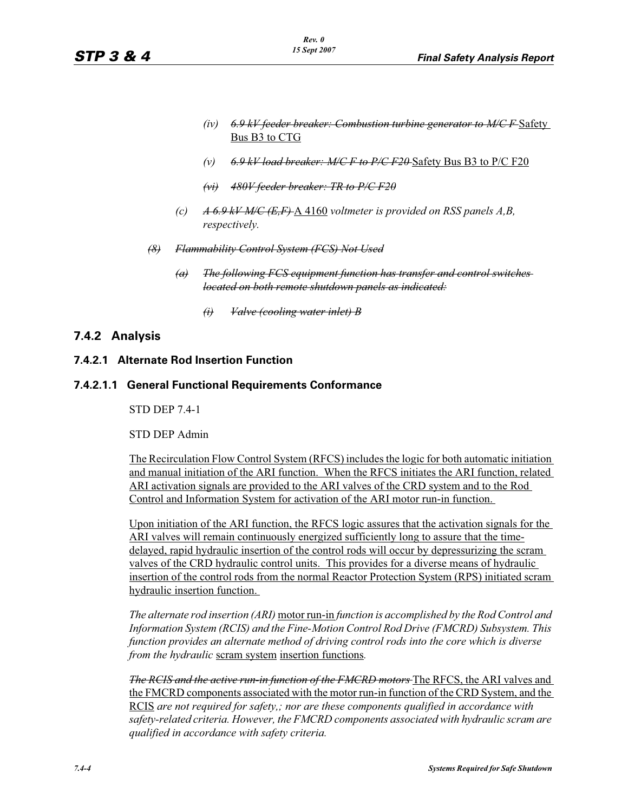- *(iv) 6.9 kV feeder breaker: Combustion turbine generator to M/C F* Safety Bus B3 to CTG
- *(v) 6.9 kV load breaker: M/C F to P/C F20* Safety Bus B3 to P/C F20
- *(vi) 480V feeder breaker: TR to P/C F20*
- *(c) A 6.9 kV M/C (E,F)* A 4160 *voltmeter is provided on RSS panels A,B, respectively.*
- *(8) Flammability Control System (FCS) Not Used*
	- *(a) The following FCS equipment function has transfer and control switches located on both remote shutdown panels as indicated:*
		- *(i) Valve (cooling water inlet) B*

# **7.4.2 Analysis**

# **7.4.2.1 Alternate Rod Insertion Function**

### **7.4.2.1.1 General Functional Requirements Conformance**

STD DEP 7.4-1

STD DEP Admin

The Recirculation Flow Control System (RFCS) includes the logic for both automatic initiation and manual initiation of the ARI function. When the RFCS initiates the ARI function, related ARI activation signals are provided to the ARI valves of the CRD system and to the Rod Control and Information System for activation of the ARI motor run-in function.

Upon initiation of the ARI function, the RFCS logic assures that the activation signals for the ARI valves will remain continuously energized sufficiently long to assure that the timedelayed, rapid hydraulic insertion of the control rods will occur by depressurizing the scram valves of the CRD hydraulic control units. This provides for a diverse means of hydraulic insertion of the control rods from the normal Reactor Protection System (RPS) initiated scram hydraulic insertion function.

*The alternate rod insertion (ARI)* motor run-in *function is accomplished by the Rod Control and Information System (RCIS) and the Fine-Motion Control Rod Drive (FMCRD) Subsystem. This function provides an alternate method of driving control rods into the core which is diverse from the hydraulic* scram system insertion functions*.*

*The RCIS and the active run-in function of the FMCRD motors* The RFCS, the ARI valves and the FMCRD components associated with the motor run-in function of the CRD System, and the RCIS *are not required for safety,; nor are these components qualified in accordance with safety-related criteria. However, the FMCRD components associated with hydraulic scram are qualified in accordance with safety criteria.*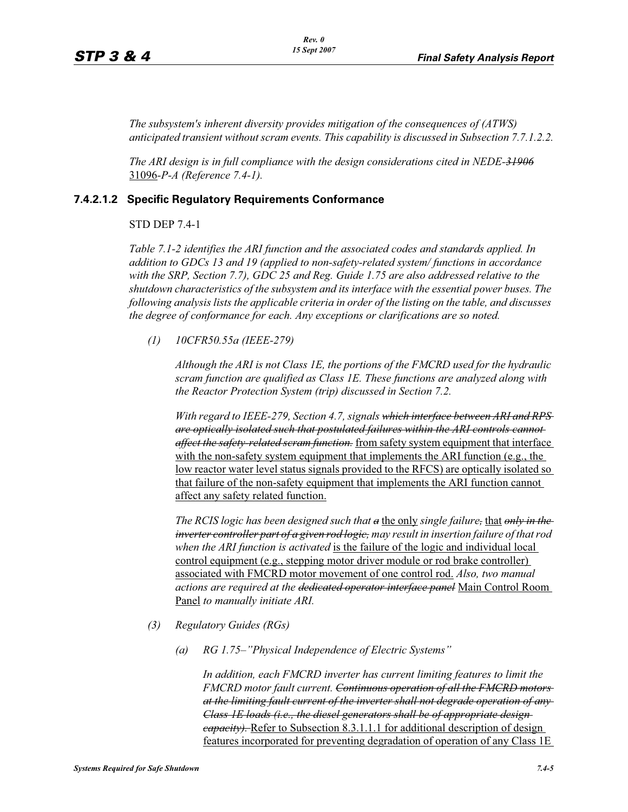*The subsystem's inherent diversity provides mitigation of the consequences of (ATWS) anticipated transient without scram events. This capability is discussed in Subsection 7.7.1.2.2.*

*The ARI design is in full compliance with the design considerations cited in NEDE-31906* 31096*-P-A (Reference 7.4-1).* 

#### **7.4.2.1.2 Specific Regulatory Requirements Conformance**

#### STD DEP 7.4-1

*Table 7.1-2 identifies the ARI function and the associated codes and standards applied. In addition to GDCs 13 and 19 (applied to non-safety-related system/ functions in accordance with the SRP, Section 7.7), GDC 25 and Reg. Guide 1.75 are also addressed relative to the shutdown characteristics of the subsystem and its interface with the essential power buses. The following analysis lists the applicable criteria in order of the listing on the table, and discusses the degree of conformance for each. Any exceptions or clarifications are so noted.*

*(1) 10CFR50.55a (IEEE-279)*

*Although the ARI is not Class 1E, the portions of the FMCRD used for the hydraulic scram function are qualified as Class 1E. These functions are analyzed along with the Reactor Protection System (trip) discussed in Section 7.2.*

*With regard to IEEE-279, Section 4.7, signals which interface between ARI and RPS are optically isolated such that postulated failures within the ARI controls cannot affect the safety-related scram function.* from safety system equipment that interface with the non-safety system equipment that implements the ARI function (e.g., the low reactor water level status signals provided to the RFCS) are optically isolated so that failure of the non-safety equipment that implements the ARI function cannot affect any safety related function.

*The RCIS logic has been designed such that a* the only *single failure,* that *only in the inverter controller part of a given rod logic, may result in insertion failure of that rod when the ARI function is activated* is the failure of the logic and individual local control equipment (e.g., stepping motor driver module or rod brake controller) associated with FMCRD motor movement of one control rod. *Also, two manual actions are required at the dedicated operator interface panel* Main Control Room Panel *to manually initiate ARI.* 

- *(3) Regulatory Guides (RGs)*
	- *(a) RG 1.75–"Physical Independence of Electric Systems"*

*In addition, each FMCRD inverter has current limiting features to limit the FMCRD motor fault current. Continuous operation of all the FMCRD motors at the limiting fault current of the inverter shall not degrade operation of any Class 1E loads (i.e., the diesel generators shall be of appropriate design capacity).* Refer to Subsection 8.3.1.1.1 for additional description of design features incorporated for preventing degradation of operation of any Class 1E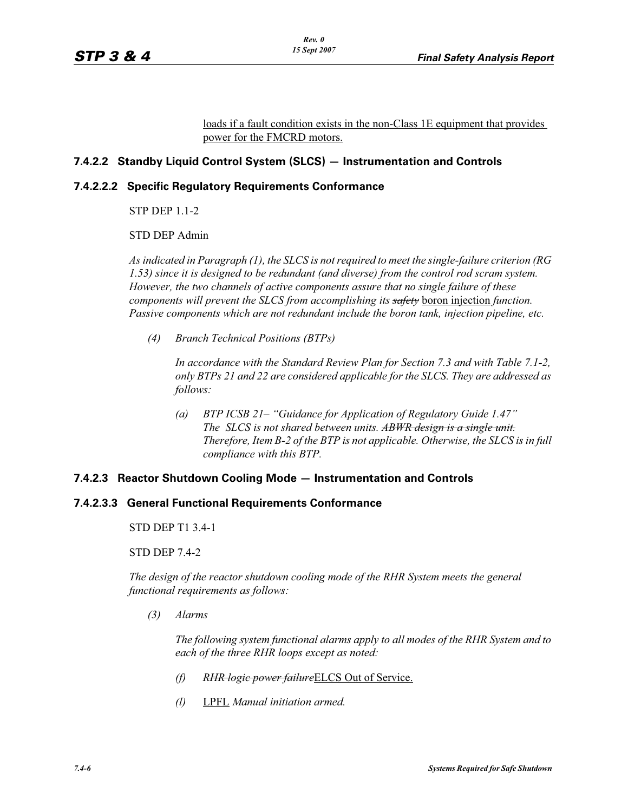loads if a fault condition exists in the non-Class 1E equipment that provides power for the FMCRD motors.

# **7.4.2.2 Standby Liquid Control System (SLCS) — Instrumentation and Controls**

### **7.4.2.2.2 Specific Regulatory Requirements Conformance**

STP DEP 1.1-2

STD DEP Admin

*As indicated in Paragraph (1), the SLCS is not required to meet the single-failure criterion (RG 1.53) since it is designed to be redundant (and diverse) from the control rod scram system. However, the two channels of active components assure that no single failure of these components will prevent the SLCS from accomplishing its safety* boron injection *function. Passive components which are not redundant include the boron tank, injection pipeline, etc.*

*(4) Branch Technical Positions (BTPs)*

*In accordance with the Standard Review Plan for Section 7.3 and with Table 7.1-2, only BTPs 21 and 22 are considered applicable for the SLCS. They are addressed as follows:*

*(a) BTP ICSB 21– "Guidance for Application of Regulatory Guide 1.47" The SLCS is not shared between units. ABWR design is a single unit. Therefore, Item B-2 of the BTP is not applicable. Otherwise, the SLCS is in full compliance with this BTP.*

#### **7.4.2.3 Reactor Shutdown Cooling Mode — Instrumentation and Controls**

# **7.4.2.3.3 General Functional Requirements Conformance**

STD DEP T1 3.4-1

STD DEP 7.4-2

*The design of the reactor shutdown cooling mode of the RHR System meets the general functional requirements as follows:*

*(3) Alarms*

*The following system functional alarms apply to all modes of the RHR System and to each of the three RHR loops except as noted:*

- *(f) RHR logic power failure*ELCS Out of Service.
- *(l)* LPFL *Manual initiation armed.*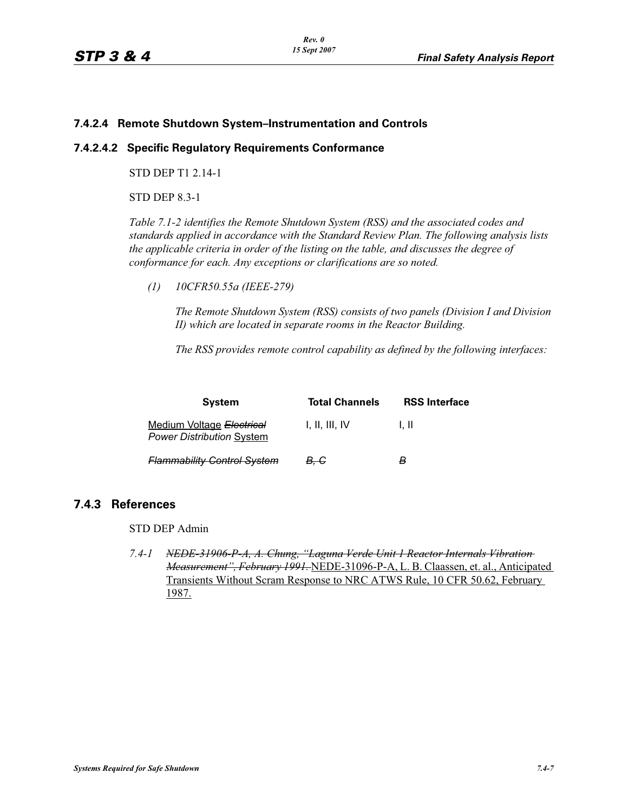### **7.4.2.4 Remote Shutdown System–Instrumentation and Controls**

### **7.4.2.4.2 Specific Regulatory Requirements Conformance**

STD DEP T1 2.14-1

STD DEP 8.3-1

*Table 7.1-2 identifies the Remote Shutdown System (RSS) and the associated codes and standards applied in accordance with the Standard Review Plan. The following analysis lists the applicable criteria in order of the listing on the table, and discusses the degree of conformance for each. Any exceptions or clarifications are so noted.*

*(1) 10CFR50.55a (IEEE-279)*

*The Remote Shutdown System (RSS) consists of two panels (Division I and Division II) which are located in separate rooms in the Reactor Building.*

*The RSS provides remote control capability as defined by the following interfaces:*

| <b>System</b>                                                 | <b>Total Channels</b> | <b>RSS Interface</b> |
|---------------------------------------------------------------|-----------------------|----------------------|
| Medium Voltage Electrical<br><b>Power Distribution System</b> | 1. II. III. IV        | L II                 |
| <b>Flammability Control System</b>                            | <del>B. C</del>       | в                    |

# **7.4.3 References**

STD DEP Admin

*7.4-1 NEDE-31906-P-A, A. Chung, "Laguna Verde Unit 1 Reactor Internals Vibration Measurement", February 1991.* NEDE-31096-P-A, L. B. Claassen, et. al., Anticipated Transients Without Scram Response to NRC ATWS Rule, 10 CFR 50.62, February 1987.